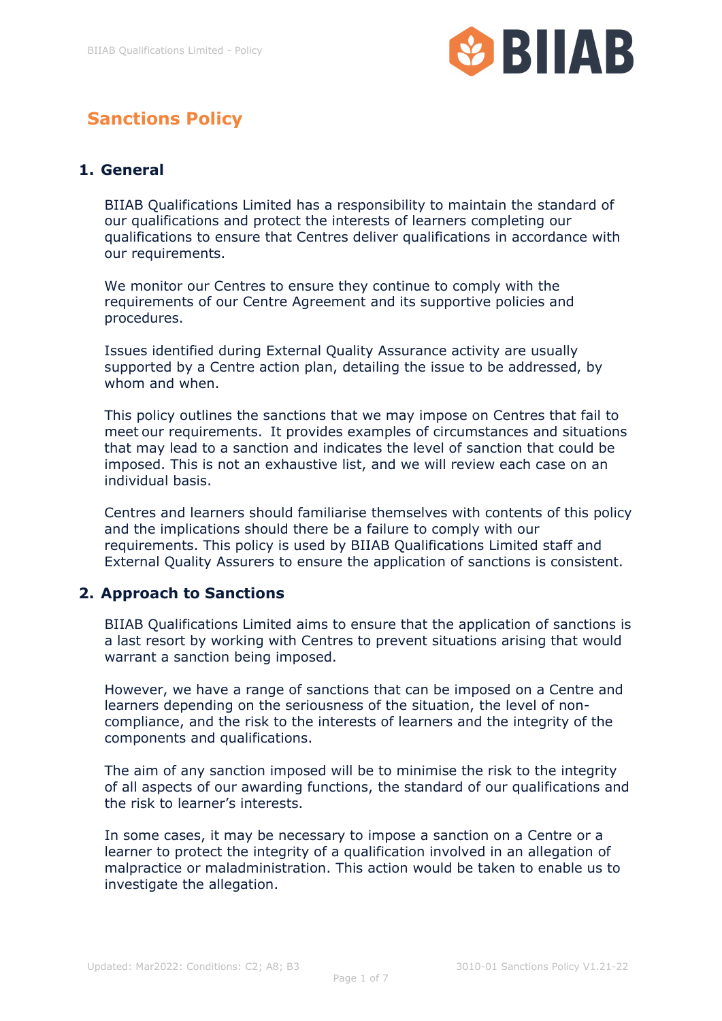

# **Sanctions Policy**

### **1. General**

BIIAB Qualifications Limited has a responsibility to maintain the standard of our qualifications and protect the interests of learners completing our qualifications to ensure that Centres deliver qualifications in accordance with our requirements.

We monitor our Centres to ensure they continue to comply with the requirements of our Centre Agreement and its supportive policies and procedures.

Issues identified during External Quality Assurance activity are usually supported by a Centre action plan, detailing the issue to be addressed, by whom and when.

This policy outlines the sanctions that we may impose on Centres that fail to meet our requirements. It provides examples of circumstances and situations that may lead to a sanction and indicates the level of sanction that could be imposed. This is not an exhaustive list, and we will review each case on an individual basis.

Centres and learners should familiarise themselves with contents of this policy and the implications should there be a failure to comply with our requirements. This policy is used by BIIAB Qualifications Limited staff and External Quality Assurers to ensure the application of sanctions is consistent.

#### **2. Approach to Sanctions**

BIIAB Qualifications Limited aims to ensure that the application of sanctions is a last resort by working with Centres to prevent situations arising that would warrant a sanction being imposed.

However, we have a range of sanctions that can be imposed on a Centre and learners depending on the seriousness of the situation, the level of noncompliance, and the risk to the interests of learners and the integrity of the components and qualifications.

The aim of any sanction imposed will be to minimise the risk to the integrity of all aspects of our awarding functions, the standard of our qualifications and the risk to learner's interests.

In some cases, it may be necessary to impose a sanction on a Centre or a learner to protect the integrity of a qualification involved in an allegation of malpractice or maladministration. This action would be taken to enable us to investigate the allegation.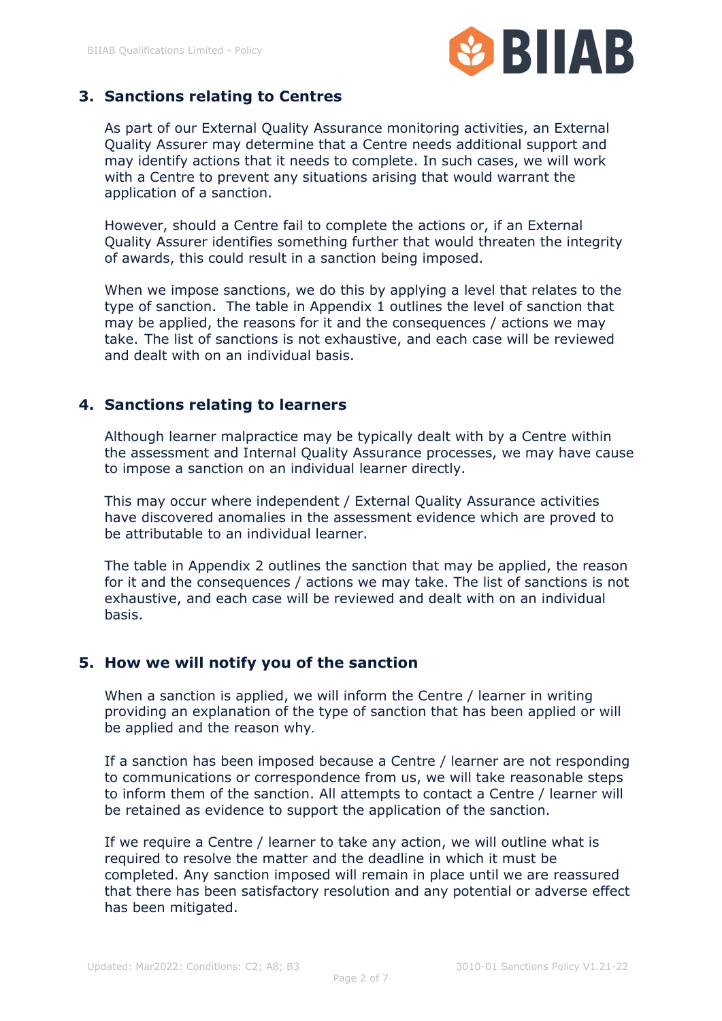

### **3. Sanctions relating to Centres**

As part of our External Quality Assurance monitoring activities, an External Quality Assurer may determine that a Centre needs additional support and may identify actions that it needs to complete. In such cases, we will work with a Centre to prevent any situations arising that would warrant the application of a sanction.

However, should a Centre fail to complete the actions or, if an External Quality Assurer identifies something further that would threaten the integrity of awards, this could result in a sanction being imposed.

When we impose sanctions, we do this by applying a level that relates to the type of sanction. The table in Appendix 1 outlines the level of sanction that may be applied, the reasons for it and the consequences / actions we may take. The list of sanctions is not exhaustive, and each case will be reviewed and dealt with on an individual basis.

#### **4. Sanctions relating to learners**

Although learner malpractice may be typically dealt with by a Centre within the assessment and Internal Quality Assurance processes, we may have cause to impose a sanction on an individual learner directly.

This may occur where independent / External Quality Assurance activities have discovered anomalies in the assessment evidence which are proved to be attributable to an individual learner.

The table in Appendix 2 outlines the sanction that may be applied, the reason for it and the consequences / actions we may take. The list of sanctions is not exhaustive, and each case will be reviewed and dealt with on an individual basis.

#### **5. How we will notify you of the sanction**

When a sanction is applied, we will inform the Centre / learner in writing providing an explanation of the type of sanction that has been applied or will be applied and the reason why.

If a sanction has been imposed because a Centre / learner are not responding to communications or correspondence from us, we will take reasonable steps to inform them of the sanction. All attempts to contact a Centre / learner will be retained as evidence to support the application of the sanction.

If we require a Centre / learner to take any action, we will outline what is required to resolve the matter and the deadline in which it must be completed. Any sanction imposed will remain in place until we are reassured that there has been satisfactory resolution and any potential or adverse effect has been mitigated.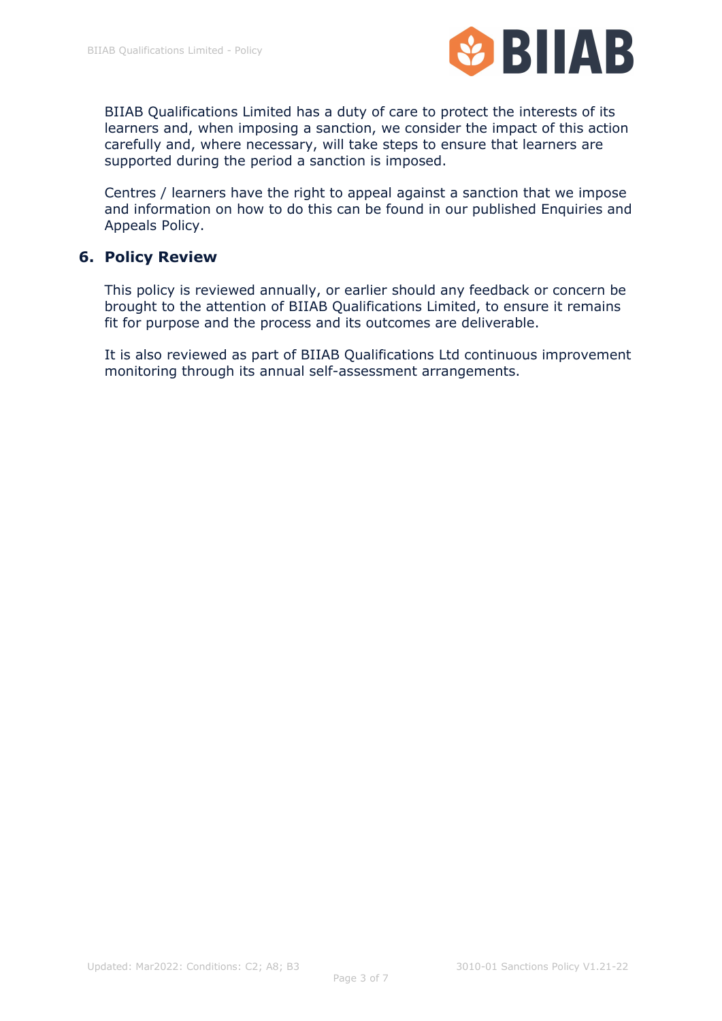

BIIAB Qualifications Limited has a duty of care to protect the interests of its learners and, when imposing a sanction, we consider the impact of this action carefully and, where necessary, will take steps to ensure that learners are supported during the period a sanction is imposed.

Centres / learners have the right to appeal against a sanction that we impose and information on how to do this can be found in our published Enquiries and Appeals Policy.

#### **6. Policy Review**

This policy is reviewed annually, or earlier should any feedback or concern be brought to the attention of BIIAB Qualifications Limited, to ensure it remains fit for purpose and the process and its outcomes are deliverable.

It is also reviewed as part of BIIAB Qualifications Ltd continuous improvement monitoring through its annual self-assessment arrangements.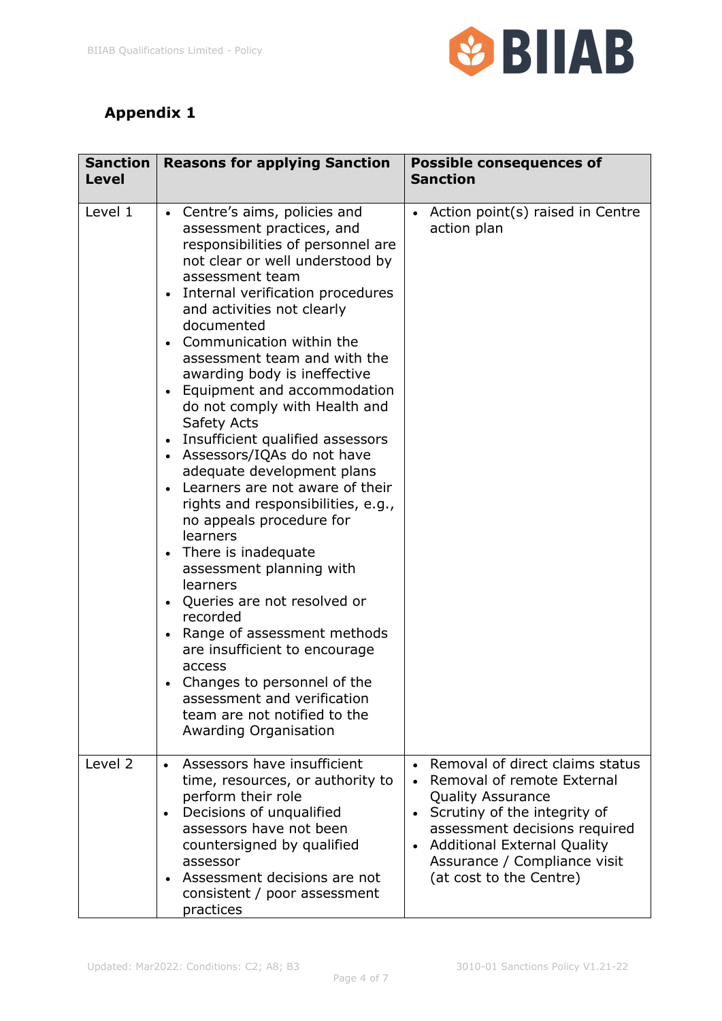

## **Appendix 1**

| <b>Sanction</b><br><b>Level</b> | <b>Reasons for applying Sanction</b>                                                                                                                                                                                                                                                                                                                                                                                                                                                                                                                                                                                                                                                                                                                                                                                                                                                                                                                                                                            | <b>Possible consequences of</b><br><b>Sanction</b>                                                                                                                                                                                                                       |
|---------------------------------|-----------------------------------------------------------------------------------------------------------------------------------------------------------------------------------------------------------------------------------------------------------------------------------------------------------------------------------------------------------------------------------------------------------------------------------------------------------------------------------------------------------------------------------------------------------------------------------------------------------------------------------------------------------------------------------------------------------------------------------------------------------------------------------------------------------------------------------------------------------------------------------------------------------------------------------------------------------------------------------------------------------------|--------------------------------------------------------------------------------------------------------------------------------------------------------------------------------------------------------------------------------------------------------------------------|
| Level 1                         | Centre's aims, policies and<br>$\bullet$<br>assessment practices, and<br>responsibilities of personnel are<br>not clear or well understood by<br>assessment team<br>Internal verification procedures<br>$\bullet$<br>and activities not clearly<br>documented<br>Communication within the<br>$\bullet$<br>assessment team and with the<br>awarding body is ineffective<br>Equipment and accommodation<br>$\bullet$<br>do not comply with Health and<br>Safety Acts<br>Insufficient qualified assessors<br>$\bullet$<br>Assessors/IQAs do not have<br>adequate development plans<br>Learners are not aware of their<br>rights and responsibilities, e.g.,<br>no appeals procedure for<br>learners<br>There is inadequate<br>assessment planning with<br>learners<br>• Queries are not resolved or<br>recorded<br>Range of assessment methods<br>are insufficient to encourage<br>access<br>• Changes to personnel of the<br>assessment and verification<br>team are not notified to the<br>Awarding Organisation | Action point(s) raised in Centre<br>action plan                                                                                                                                                                                                                          |
| Level 2                         | Assessors have insufficient<br>$\bullet$<br>time, resources, or authority to<br>perform their role<br>Decisions of unqualified<br>$\bullet$<br>assessors have not been<br>countersigned by qualified<br>assessor<br>• Assessment decisions are not<br>consistent / poor assessment<br>practices                                                                                                                                                                                                                                                                                                                                                                                                                                                                                                                                                                                                                                                                                                                 | Removal of direct claims status<br>Removal of remote External<br><b>Quality Assurance</b><br>Scrutiny of the integrity of<br>$\bullet$<br>assessment decisions required<br><b>Additional External Quality</b><br>Assurance / Compliance visit<br>(at cost to the Centre) |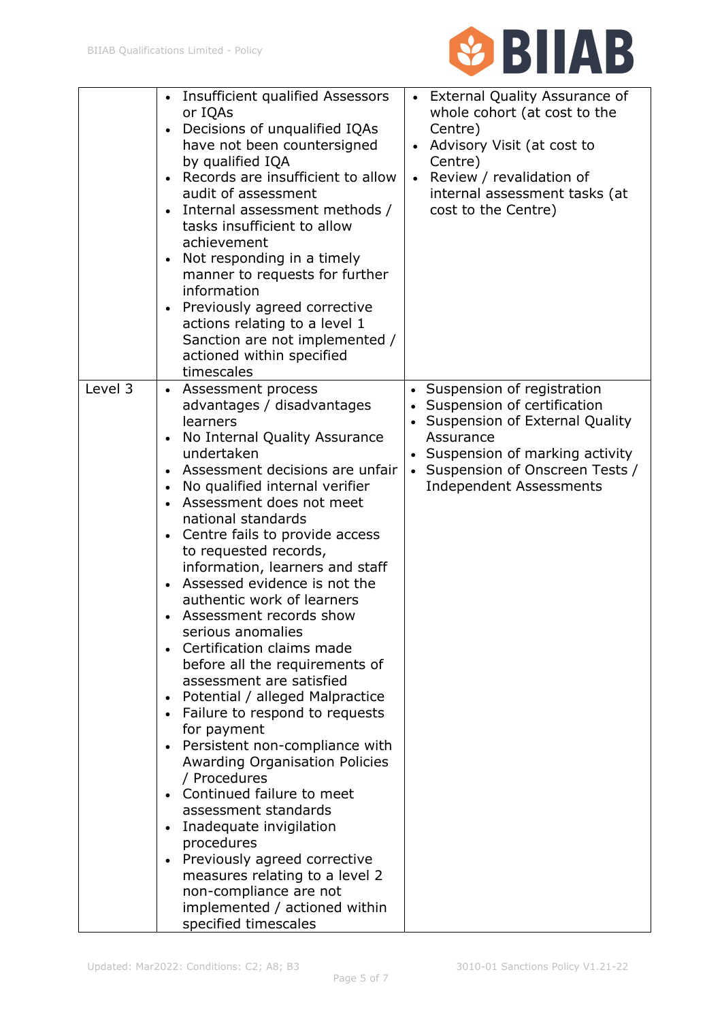

|         | <b>Insufficient qualified Assessors</b><br>$\bullet$ | <b>External Quality Assurance of</b>        |
|---------|------------------------------------------------------|---------------------------------------------|
|         | or IQAs                                              | whole cohort (at cost to the                |
|         | Decisions of unqualified IQAs<br>$\bullet$           | Centre)                                     |
|         | have not been countersigned                          | Advisory Visit (at cost to<br>$\bullet$     |
|         | by qualified IQA                                     | Centre)                                     |
|         | Records are insufficient to allow                    | Review / revalidation of                    |
|         | audit of assessment                                  | internal assessment tasks (at               |
|         | Internal assessment methods /<br>$\bullet$           | cost to the Centre)                         |
|         | tasks insufficient to allow                          |                                             |
|         | achievement                                          |                                             |
|         | Not responding in a timely<br>$\bullet$              |                                             |
|         | manner to requests for further                       |                                             |
|         | information                                          |                                             |
|         | Previously agreed corrective                         |                                             |
|         | actions relating to a level 1                        |                                             |
|         |                                                      |                                             |
|         | Sanction are not implemented /                       |                                             |
|         | actioned within specified                            |                                             |
|         | timescales                                           |                                             |
| Level 3 | Assessment process<br>$\bullet$                      | Suspension of registration<br>$\bullet$     |
|         | advantages / disadvantages                           | Suspension of certification<br>$\bullet$    |
|         | learners                                             | Suspension of External Quality<br>$\bullet$ |
|         | No Internal Quality Assurance<br>$\bullet$           | Assurance                                   |
|         | undertaken                                           | Suspension of marking activity              |
|         | Assessment decisions are unfair<br>$\bullet$         | Suspension of Onscreen Tests /<br>$\bullet$ |
|         | No qualified internal verifier<br>$\bullet$          | <b>Independent Assessments</b>              |
|         | Assessment does not meet<br>$\bullet$                |                                             |
|         | national standards                                   |                                             |
|         | Centre fails to provide access<br>$\bullet$          |                                             |
|         | to requested records,                                |                                             |
|         | information, learners and staff                      |                                             |
|         | Assessed evidence is not the                         |                                             |
|         | authentic work of learners                           |                                             |
|         | Assessment records show<br>$\bullet$                 |                                             |
|         | serious anomalies                                    |                                             |
|         | Certification claims made                            |                                             |
|         | before all the requirements of                       |                                             |
|         | assessment are satisfied                             |                                             |
|         | Potential / alleged Malpractice<br>$\bullet$         |                                             |
|         | Failure to respond to requests<br>$\bullet$          |                                             |
|         | for payment                                          |                                             |
|         | Persistent non-compliance with<br>$\bullet$          |                                             |
|         | <b>Awarding Organisation Policies</b>                |                                             |
|         | / Procedures                                         |                                             |
|         | Continued failure to meet                            |                                             |
|         | assessment standards                                 |                                             |
|         | Inadequate invigilation<br>$\bullet$                 |                                             |
|         | procedures                                           |                                             |
|         | Previously agreed corrective<br>$\bullet$            |                                             |
|         | measures relating to a level 2                       |                                             |
|         | non-compliance are not                               |                                             |
|         |                                                      |                                             |
|         | implemented / actioned within                        |                                             |
|         | specified timescales                                 |                                             |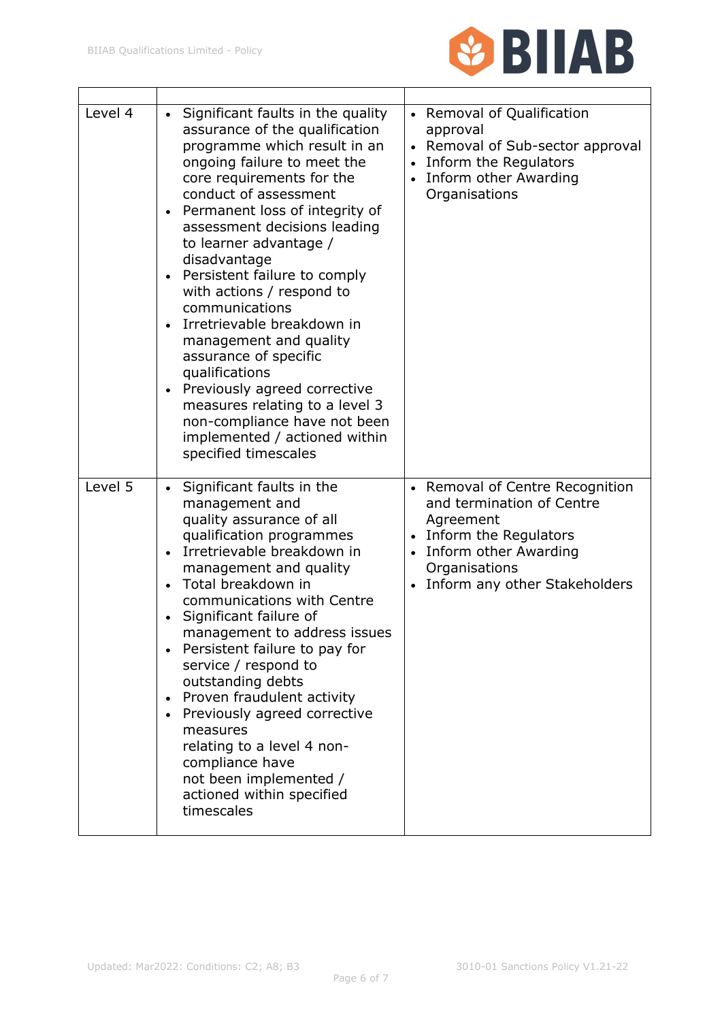

| Level 4 | Significant faults in the quality<br>$\bullet$<br>assurance of the qualification<br>programme which result in an<br>ongoing failure to meet the<br>core requirements for the<br>conduct of assessment<br>Permanent loss of integrity of<br>$\bullet$<br>assessment decisions leading<br>to learner advantage /<br>disadvantage<br>Persistent failure to comply<br>$\bullet$<br>with actions / respond to<br>communications<br>Irretrievable breakdown in<br>management and quality<br>assurance of specific<br>qualifications<br>Previously agreed corrective<br>measures relating to a level 3<br>non-compliance have not been<br>implemented / actioned within<br>specified timescales | • Removal of Qualification<br>approval<br>Removal of Sub-sector approval<br>Inform the Regulators<br>Inform other Awarding<br>Organisations                                   |
|---------|------------------------------------------------------------------------------------------------------------------------------------------------------------------------------------------------------------------------------------------------------------------------------------------------------------------------------------------------------------------------------------------------------------------------------------------------------------------------------------------------------------------------------------------------------------------------------------------------------------------------------------------------------------------------------------------|-------------------------------------------------------------------------------------------------------------------------------------------------------------------------------|
| Level 5 | Significant faults in the<br>$\bullet$<br>management and<br>quality assurance of all<br>qualification programmes<br>Irretrievable breakdown in<br>$\bullet$<br>management and quality<br>Total breakdown in<br>$\bullet$<br>communications with Centre<br>Significant failure of<br>management to address issues<br>Persistent failure to pay for<br>service / respond to<br>outstanding debts<br>Proven fraudulent activity<br>$\bullet$<br>Previously agreed corrective<br>measures<br>relating to a level 4 non-<br>compliance have<br>not been implemented /<br>actioned within specified<br>timescales                                                                              | • Removal of Centre Recognition<br>and termination of Centre<br>Agreement<br>Inform the Regulators<br>Inform other Awarding<br>Organisations<br>Inform any other Stakeholders |